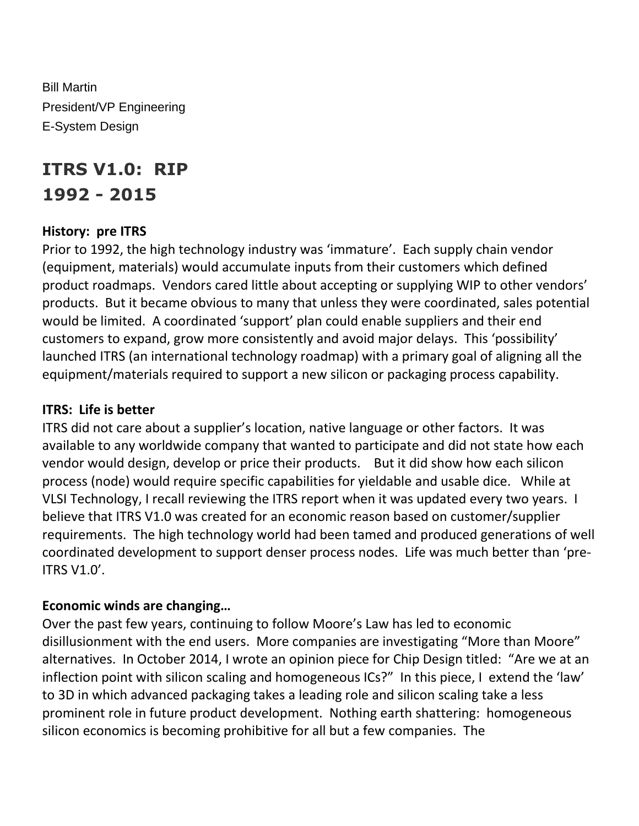Bill Martin President/VP Engineering E-System Design

# **ITRS V1.0: RIP 1992 - 2015**

#### **History: pre ITRS**

Prior to 1992, the high technology industry was 'immature'. Each supply chain vendor (equipment, materials) would accumulate inputs from their customers which defined product roadmaps. Vendors cared little about accepting or supplying WIP to other vendors' products. But it became obvious to many that unless they were coordinated, sales potential would be limited. A coordinated 'support' plan could enable suppliers and their end customers to expand, grow more consistently and avoid major delays. This 'possibility' launched ITRS (an international technology roadmap) with a primary goal of aligning all the equipment/materials required to support a new silicon or packaging process capability.

#### **ITRS: Life is better**

ITRS did not care about a supplier's location, native language or other factors. It was available to any worldwide company that wanted to participate and did not state how each vendor would design, develop or price their products. But it did show how each silicon process (node) would require specific capabilities for yieldable and usable dice. While at VLSI Technology, I recall reviewing the ITRS report when it was updated every two years. I believe that ITRS V1.0 was created for an economic reason based on customer/supplier requirements. The high technology world had been tamed and produced generations of well coordinated development to support denser process nodes. Life was much better than 'pre-ITRS V1.0'.

#### **Economic winds are changing…**

Over the past few years, continuing to follow Moore's Law has led to economic disillusionment with the end users. More companies are investigating "More than Moore" alternatives. In October 2014, I wrote an opinion piece for Chip Design titled: "Are we at an inflection point with silicon scaling and homogeneous ICs?" In this piece, I extend the 'law' to 3D in which advanced packaging takes a leading role and silicon scaling take a less prominent role in future product development. Nothing earth shattering: homogeneous silicon economics is becoming prohibitive for all but a few companies. The